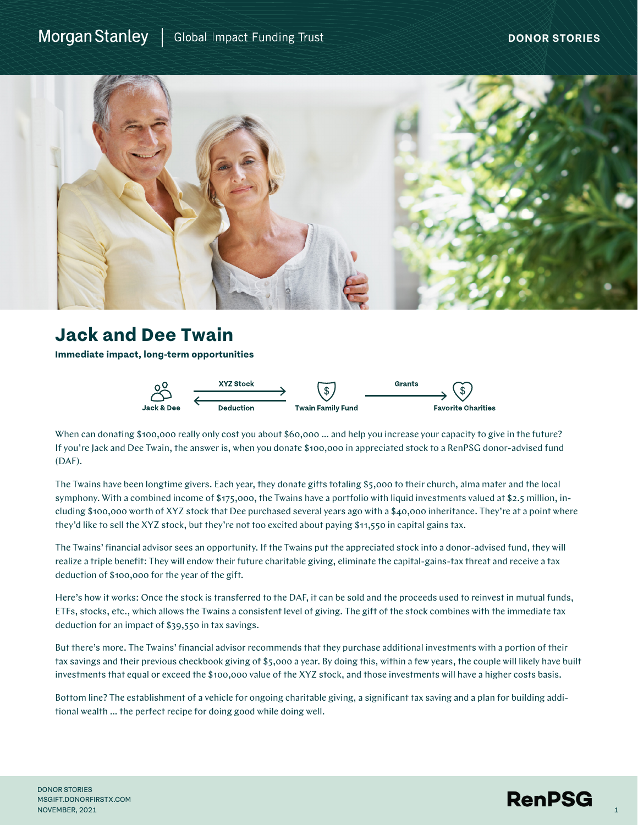## Morgan Stanley | Global Impact Funding Trust



## **Jack and Dee Twain**

**Immediate impact, long-term opportunities**



When can donating \$100,000 really only cost you about \$60,000 … and help you increase your capacity to give in the future? If you're Jack and Dee Twain, the answer is, when you donate \$100,000 in appreciated stock to a RenPSG donor-advised fund (DAF).

The Twains have been longtime givers. Each year, they donate gifts totaling \$5,000 to their church, alma mater and the local symphony. With a combined income of \$175,000, the Twains have a portfolio with liquid investments valued at \$2.5 million, including \$100,000 worth of XYZ stock that Dee purchased several years ago with a \$40,000 inheritance. They're at a point where they'd like to sell the XYZ stock, but they're not too excited about paying \$11,550 in capital gains tax.

The Twains' financial advisor sees an opportunity. If the Twains put the appreciated stock into a donor-advised fund, they will realize a triple benefit: They will endow their future charitable giving, eliminate the capital-gains-tax threat and receive a tax deduction of \$100,000 for the year of the gift.

Here's how it works: Once the stock is transferred to the DAF, it can be sold and the proceeds used to reinvest in mutual funds, ETFs, stocks, etc., which allows the Twains a consistent level of giving. The gift of the stock combines with the immediate tax deduction for an impact of \$39,550 in tax savings.

But there's more. The Twains' financial advisor recommends that they purchase additional investments with a portion of their tax savings and their previous checkbook giving of \$5,000 a year. By doing this, within a few years, the couple will likely have built investments that equal or exceed the \$100,000 value of the XYZ stock, and those investments will have a higher costs basis.

Bottom line? The establishment of a vehicle for ongoing charitable giving, a significant tax saving and a plan for building additional wealth … the perfect recipe for doing good while doing well.